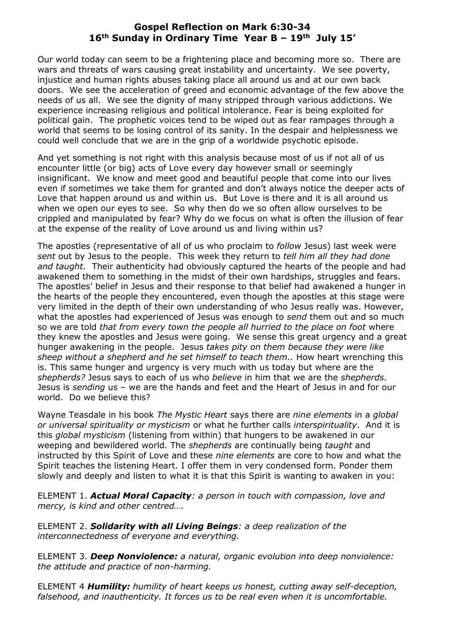## **Gospel Reflection on Mark 6:30-34 16th Sunday in Ordinary Time Year B – 19th July 15'**

Our world today can seem to be a frightening place and becoming more so. There are wars and threats of wars causing great instability and uncertainty. We see poverty, injustice and human rights abuses taking place all around us and at our own back doors. We see the acceleration of greed and economic advantage of the few above the needs of us all. We see the dignity of many stripped through various addictions. We experience increasing religious and political intolerance. Fear is being exploited for political gain. The prophetic voices tend to be wiped out as fear rampages through a world that seems to be losing control of its sanity. In the despair and helplessness we could well conclude that we are in the grip of a worldwide psychotic episode.

And yet something is not right with this analysis because most of us if not all of us encounter little (or big) acts of Love every day however small or seemingly insignificant. We know and meet good and beautiful people that come into our lives even if sometimes we take them for granted and don't always notice the deeper acts of Love that happen around us and within us. But Love is there and it is all around us when we open our eyes to see. So why then do we so often allow ourselves to be crippled and manipulated by fear? Why do we focus on what is often the illusion of fear at the expense of the reality of Love around us and living within us?

The apostles (representative of all of us who proclaim to *follow* Jesus) last week were *sent* out by Jesus to the people. This week they return to *tell him all they had done and taught.* Their authenticity had obviously captured the hearts of the people and had awakened them to something in the midst of their own hardships, struggles and fears. The apostles' belief in Jesus and their response to that belief had awakened a hunger in the hearts of the people they encountered, even though the apostles at this stage were very limited in the depth of their own understanding of who Jesus really was. However, what the apostles had experienced of Jesus was enough to *send* them out and so much so we are told *that from every town the people all hurried to the place on foot* where they knew the apostles and Jesus were going. We sense this great urgency and a great hunger awakening in the people. Jesus *takes pity on them because they were like sheep without a shepherd and he set himself to teach them..* How heart wrenching this is. This same hunger and urgency is very much with us today but where are the *shepherds?* Jesus says to each of us who *believe* in him that we are the *shepherds.*  Jesus is *sending* us – we are the hands and feet and the Heart of Jesus in and for our world. Do we believe this?

Wayne Teasdale in his book *The Mystic Heart* says there are *nine elements* in a *global or universal spirituality or mysticism* or what he further calls *interspirituality*. And it is this *global mysticism* (listening from within) that hungers to be awakened in our weeping and bewildered world. The *shepherds* are continually being *taught* and instructed by this Spirit of Love and these *nine elements* are core to how and what the Spirit teaches the listening Heart. I offer them in very condensed form. Ponder them slowly and deeply and listen to what it is that this Spirit is wanting to awaken in you:

ELEMENT 1. *Actual Moral Capacity: a person in touch with compassion, love and mercy, is kind and other centred….* 

ELEMENT 2. *Solidarity with all Living Beings: a deep realization of the interconnectedness of everyone and everything.* 

ELEMENT 3. *Deep Nonviolence: a natural, organic evolution into deep nonviolence: the attitude and practice of non-harming.* 

ELEMENT 4 *Humility: humility of heart keeps us honest, cutting away self-deception, falsehood, and inauthenticity. It forces us to be real even when it is uncomfortable.*